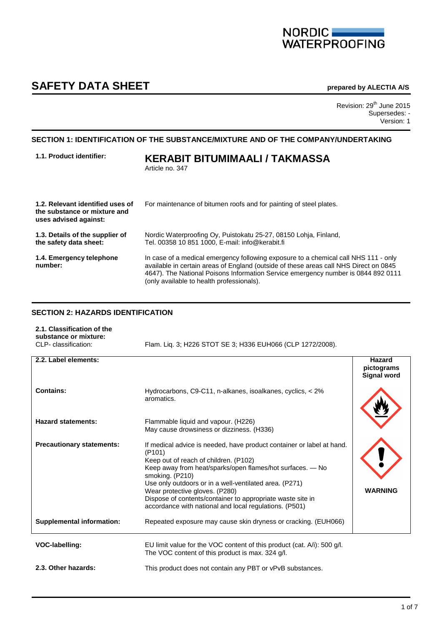# NORDIC<br>WATERPROOFING

## **SAFETY DATA SHEET prepared by ALECTIA A/S**

Revision: 29<sup>th</sup> June 2015 Supersedes: - Version: 1

#### **SECTION 1: IDENTIFICATION OF THE SUBSTANCE/MIXTURE AND OF THE COMPANY/UNDERTAKING**

| 1.1. Product identifier:                                                                  | KERABIT BITUMIMAALI / TAKMASSA<br>Article no. 347                                                                                                                                                                                                                                                              |
|-------------------------------------------------------------------------------------------|----------------------------------------------------------------------------------------------------------------------------------------------------------------------------------------------------------------------------------------------------------------------------------------------------------------|
| 1.2. Relevant identified uses of<br>the substance or mixture and<br>uses advised against: | For maintenance of bitumen roofs and for painting of steel plates.                                                                                                                                                                                                                                             |
| 1.3. Details of the supplier of<br>the safety data sheet:                                 | Nordic Waterproofing Oy, Puistokatu 25-27, 08150 Lohja, Finland,<br>Tel. 00358 10 851 1000. E-mail: info@kerabit.fi                                                                                                                                                                                            |
| 1.4. Emergency telephone<br>number:                                                       | In case of a medical emergency following exposure to a chemical call NHS 111 - only<br>available in certain areas of England (outside of these areas call NHS Direct on 0845<br>4647). The National Poisons Information Service emergency number is 0844 892 0111<br>(only available to health professionals). |

#### **SECTION 2: HAZARDS IDENTIFICATION**

| 2.1. Classification of the<br>substance or mixture: |                                                            |
|-----------------------------------------------------|------------------------------------------------------------|
| CLP- classification:                                | Flam. Lig. 3: H226 STOT SE 3: H336 EUH066 (CLP 1272/2008). |

| 2.2. Label elements:             |                                                                                                                                                                                                                                                                                                                                                                                                                                           | Hazard<br>pictograms<br><b>Signal word</b> |
|----------------------------------|-------------------------------------------------------------------------------------------------------------------------------------------------------------------------------------------------------------------------------------------------------------------------------------------------------------------------------------------------------------------------------------------------------------------------------------------|--------------------------------------------|
| Contains:                        | Hydrocarbons, C9-C11, n-alkanes, isoalkanes, cyclics, < 2%<br>aromatics.                                                                                                                                                                                                                                                                                                                                                                  |                                            |
| <b>Hazard statements:</b>        | Flammable liquid and vapour. (H226)<br>May cause drowsiness or dizziness. (H336)                                                                                                                                                                                                                                                                                                                                                          |                                            |
| <b>Precautionary statements:</b> | If medical advice is needed, have product container or label at hand.<br>(P <sub>101</sub> )<br>Keep out of reach of children. (P102)<br>Keep away from heat/sparks/open flames/hot surfaces. - No<br>smoking. (P210)<br>Use only outdoors or in a well-ventilated area. (P271)<br>Wear protective gloves. (P280)<br>Dispose of contents/container to appropriate waste site in<br>accordance with national and local regulations. (P501) | <b>WARNING</b>                             |
| <b>Supplemental information:</b> | Repeated exposure may cause skin dryness or cracking. (EUH066)                                                                                                                                                                                                                                                                                                                                                                            |                                            |
| VOC-labelling:                   | EU limit value for the VOC content of this product (cat. A/i): 500 g/l.<br>The VOC content of this product is max. 324 g/l.                                                                                                                                                                                                                                                                                                               |                                            |
| 2.3. Other hazards:              | This product does not contain any PBT or vPvB substances.                                                                                                                                                                                                                                                                                                                                                                                 |                                            |

I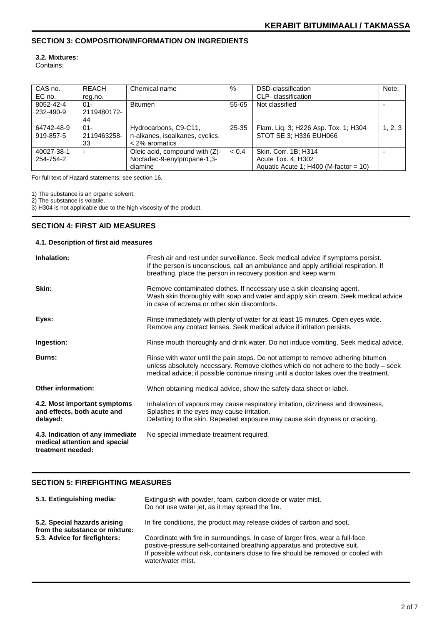#### **SECTION 3: COMPOSITION/INFORMATION ON INGREDIENTS**

#### **3.2. Mixtures:**

Contains:

| CAS no.<br>EC no.       | <b>REACH</b><br>reg.no.     | Chemical name                                                                | %         | DSD-classification<br>CLP- classification                                             | Note:   |
|-------------------------|-----------------------------|------------------------------------------------------------------------------|-----------|---------------------------------------------------------------------------------------|---------|
| 8052-42-4<br>232-490-9  | $01 -$<br>2119480172-<br>44 | Bitumen                                                                      | 55-65     | Not classified                                                                        |         |
| 64742-48-9<br>919-857-5 | $01 -$<br>2119463258-<br>33 | Hydrocarbons, C9-C11,<br>n-alkanes, isoalkanes, cyclics,<br>$<$ 2% aromatics | $25 - 35$ | Flam. Liq. 3; H226 Asp. Tox. 1; H304<br>STOT SE 3; H336 EUH066                        | 1, 2, 3 |
| 40027-38-1<br>254-754-2 | $\overline{\phantom{a}}$    | Oleic acid, compound with (Z)-<br>Noctadec-9-enylpropane-1,3-<br>diamine     | < 0.4     | Skin. Corr. 1B; H314<br>Acute Tox. 4; H302<br>Aquatic Acute 1; $H400$ (M-factor = 10) |         |

For full text of Hazard statements: see section 16.

1) The substance is an organic solvent.

2) The substance is volatile.

3) H304 is not applicable due to the high viscosity of the product.

#### **SECTION 4: FIRST AID MEASURES**

#### **4.1. Description of first aid measures**

| Inhalation:                                                                            | Fresh air and rest under surveillance. Seek medical advice if symptoms persist.<br>If the person is unconscious, call an ambulance and apply artificial respiration. If<br>breathing, place the person in recovery position and keep warm.                      |
|----------------------------------------------------------------------------------------|-----------------------------------------------------------------------------------------------------------------------------------------------------------------------------------------------------------------------------------------------------------------|
| Skin:                                                                                  | Remove contaminated clothes. If necessary use a skin cleansing agent.<br>Wash skin thoroughly with soap and water and apply skin cream. Seek medical advice<br>in case of eczema or other skin discomforts.                                                     |
| Eyes:                                                                                  | Rinse immediately with plenty of water for at least 15 minutes. Open eyes wide.<br>Remove any contact lenses. Seek medical advice if irritation persists.                                                                                                       |
| Ingestion:                                                                             | Rinse mouth thoroughly and drink water. Do not induce vomiting. Seek medical advice.                                                                                                                                                                            |
| <b>Burns:</b>                                                                          | Rinse with water until the pain stops. Do not attempt to remove adhering bitumen<br>unless absolutely necessary. Remove clothes which do not adhere to the body – seek<br>medical advice; if possible continue rinsing until a doctor takes over the treatment. |
| <b>Other information:</b>                                                              | When obtaining medical advice, show the safety data sheet or label.                                                                                                                                                                                             |
| 4.2. Most important symptoms<br>and effects, both acute and<br>delayed:                | Inhalation of vapours may cause respiratory irritation, dizziness and drowsiness,<br>Splashes in the eyes may cause irritation.<br>Defatting to the skin. Repeated exposure may cause skin dryness or cracking.                                                 |
| 4.3. Indication of any immediate<br>medical attention and special<br>treatment needed: | No special immediate treatment required.                                                                                                                                                                                                                        |

#### **SECTION 5: FIREFIGHTING MEASURES**

| 5.1. Extinguishing media:                                                                       | Extinguish with powder, foam, carbon dioxide or water mist.<br>Do not use water jet, as it may spread the fire.                                                                       |
|-------------------------------------------------------------------------------------------------|---------------------------------------------------------------------------------------------------------------------------------------------------------------------------------------|
| 5.2. Special hazards arising<br>from the substance or mixture:<br>5.3. Advice for firefighters: | In fire conditions, the product may release oxides of carbon and soot.<br>Coordinate with fire in surroundings. In case of larger fires, wear a full-face                             |
|                                                                                                 | positive-pressure self-contained breathing apparatus and protective suit.<br>If possible without risk, containers close to fire should be removed or cooled with<br>water/water mist. |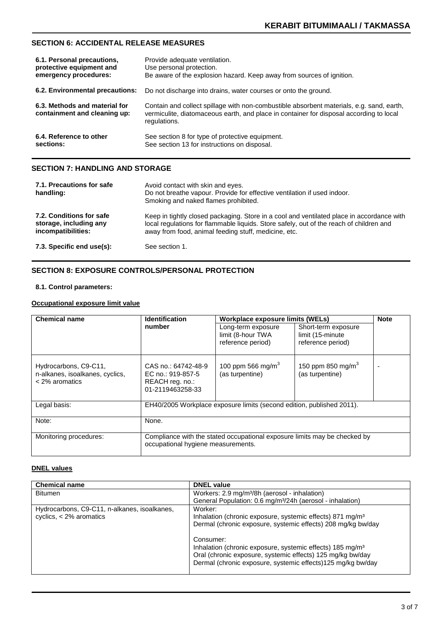#### **SECTION 6: ACCIDENTAL RELEASE MEASURES**

| 6.1. Personal precautions,                                    | Provide adequate ventilation.                                                                                                                                                                       |
|---------------------------------------------------------------|-----------------------------------------------------------------------------------------------------------------------------------------------------------------------------------------------------|
| protective equipment and                                      | Use personal protection.                                                                                                                                                                            |
| emergency procedures:                                         | Be aware of the explosion hazard. Keep away from sources of ignition.                                                                                                                               |
| 6.2. Environmental precautions:                               | Do not discharge into drains, water courses or onto the ground.                                                                                                                                     |
| 6.3. Methods and material for<br>containment and cleaning up: | Contain and collect spillage with non-combustible absorbent materials, e.g. sand, earth,<br>vermiculite, diatomaceous earth, and place in container for disposal according to local<br>regulations. |
| 6.4. Reference to other                                       | See section 8 for type of protective equipment.                                                                                                                                                     |
| sections:                                                     | See section 13 for instructions on disposal.                                                                                                                                                        |

### **SECTION 7: HANDLING AND STORAGE**

| 7.1. Precautions for safe<br>handling:                                   | Avoid contact with skin and eyes.<br>Do not breathe vapour. Provide for effective ventilation if used indoor.<br>Smoking and naked flames prohibited.                                                                                        |
|--------------------------------------------------------------------------|----------------------------------------------------------------------------------------------------------------------------------------------------------------------------------------------------------------------------------------------|
| 7.2. Conditions for safe<br>storage, including any<br>incompatibilities: | Keep in tightly closed packaging. Store in a cool and ventilated place in accordance with<br>local regulations for flammable liquids. Store safely, out of the reach of children and<br>away from food, animal feeding stuff, medicine, etc. |
| 7.3. Specific end use(s):                                                | See section 1.                                                                                                                                                                                                                               |

#### **SECTION 8: EXPOSURE CONTROLS/PERSONAL PROTECTION**

#### **8.1. Control parameters:**

#### **Occupational exposure limit value**

| <b>Chemical name</b>                                                         | <b>Identification</b>                                                                                           | Workplace exposure limits (WELs)                             | <b>Note</b>                                                   |  |
|------------------------------------------------------------------------------|-----------------------------------------------------------------------------------------------------------------|--------------------------------------------------------------|---------------------------------------------------------------|--|
|                                                                              | number                                                                                                          | Long-term exposure<br>limit (8-hour TWA<br>reference period) | Short-term exposure<br>limit (15-minute)<br>reference period) |  |
| Hydrocarbons, C9-C11,<br>n-alkanes, isoalkanes, cyclics,<br>$<$ 2% aromatics | CAS no.: 64742-48-9<br>EC no.: 919-857-5<br>REACH reg. no.:<br>01-2119463258-33                                 | 100 ppm 566 mg/m <sup>3</sup><br>(as turpentine)             | 150 ppm 850 mg/m <sup>3</sup><br>(as turpentine)              |  |
| Legal basis:                                                                 | EH40/2005 Workplace exposure limits (second edition, published 2011).                                           |                                                              |                                                               |  |
| Note:                                                                        | None.                                                                                                           |                                                              |                                                               |  |
| Monitoring procedures:                                                       | Compliance with the stated occupational exposure limits may be checked by<br>occupational hygiene measurements. |                                                              |                                                               |  |

#### **DNEL values**

| <b>Chemical name</b>                         | <b>DNEL value</b>                                                                                                                                                                                               |
|----------------------------------------------|-----------------------------------------------------------------------------------------------------------------------------------------------------------------------------------------------------------------|
| <b>Bitumen</b>                               | Workers: 2.9 mg/m <sup>3</sup> /8h (aerosol - inhalation)                                                                                                                                                       |
|                                              | General Population: 0.6 mg/m <sup>3</sup> /24h (aerosol - inhalation)                                                                                                                                           |
| Hydrocarbons, C9-C11, n-alkanes, isoalkanes, | Worker:                                                                                                                                                                                                         |
| cyclics, $<$ 2% aromatics                    | Inhalation (chronic exposure, systemic effects) 871 mg/m <sup>3</sup>                                                                                                                                           |
|                                              | Dermal (chronic exposure, systemic effects) 208 mg/kg bw/day                                                                                                                                                    |
|                                              | Consumer:<br>Inhalation (chronic exposure, systemic effects) 185 mg/m <sup>3</sup><br>Oral (chronic exposure, systemic effects) 125 mg/kg bw/day<br>Dermal (chronic exposure, systemic effects)125 mg/kg bw/day |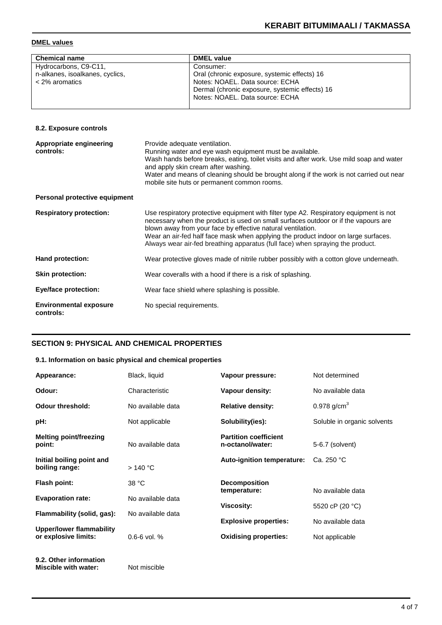#### **DMEL values**

| <b>Chemical name</b>            | <b>DMEL value</b>                              |
|---------------------------------|------------------------------------------------|
| Hydrocarbons, C9-C11,           | Consumer:                                      |
| n-alkanes, isoalkanes, cyclics, | Oral (chronic exposure, systemic effects) 16   |
| $<$ 2% aromatics                | Notes: NOAEL, Data source: ECHA                |
|                                 | Dermal (chronic exposure, systemic effects) 16 |
|                                 | Notes: NOAEL, Data source: ECHA                |
|                                 |                                                |

#### **8.2. Exposure controls**

| Appropriate engineering<br>controls:       | Provide adequate ventilation.<br>Running water and eye wash equipment must be available.<br>Wash hands before breaks, eating, toilet visits and after work. Use mild soap and water<br>and apply skin cream after washing.<br>Water and means of cleaning should be brought along if the work is not carried out near<br>mobile site huts or permanent common rooms.                                                |
|--------------------------------------------|---------------------------------------------------------------------------------------------------------------------------------------------------------------------------------------------------------------------------------------------------------------------------------------------------------------------------------------------------------------------------------------------------------------------|
| Personal protective equipment              |                                                                                                                                                                                                                                                                                                                                                                                                                     |
| <b>Respiratory protection:</b>             | Use respiratory protective equipment with filter type A2. Respiratory equipment is not<br>necessary when the product is used on small surfaces outdoor or if the vapours are<br>blown away from your face by effective natural ventilation.<br>Wear an air-fed half face mask when applying the product indoor on large surfaces.<br>Always wear air-fed breathing apparatus (full face) when spraying the product. |
| <b>Hand protection:</b>                    | Wear protective gloves made of nitrile rubber possibly with a cotton glove underneath.                                                                                                                                                                                                                                                                                                                              |
| <b>Skin protection:</b>                    | Wear coveralls with a hood if there is a risk of splashing.                                                                                                                                                                                                                                                                                                                                                         |
| <b>Eye/face protection:</b>                | Wear face shield where splashing is possible.                                                                                                                                                                                                                                                                                                                                                                       |
| <b>Environmental exposure</b><br>controls: | No special requirements.                                                                                                                                                                                                                                                                                                                                                                                            |

#### **SECTION 9: PHYSICAL AND CHEMICAL PROPERTIES**

#### **9.1. Information on basic physical and chemical properties**

| Appearance:                                 | Black, liquid     | Vapour pressure:                                 | Not determined              |
|---------------------------------------------|-------------------|--------------------------------------------------|-----------------------------|
| Odour:                                      | Characteristic    | Vapour density:                                  | No available data           |
| <b>Odour threshold:</b>                     | No available data | <b>Relative density:</b>                         | 0.978 $q/cm^{3}$            |
| pH:                                         | Not applicable    | Solubility(ies):                                 | Soluble in organic solvents |
| Melting point/freezing<br>point:            | No available data | <b>Partition coefficient</b><br>n-octanol/water: | 5-6.7 (solvent)             |
| Initial boiling point and<br>boiling range: | >140 °C           | <b>Auto-ignition temperature:</b>                | Ca. 250 °C                  |
| Flash point:                                | 38 °C             | <b>Decomposition</b><br>temperature:             | No available data           |
| <b>Evaporation rate:</b>                    | No available data |                                                  |                             |
| Flammability (solid, gas):                  | No available data | <b>Viscosity:</b>                                | 5520 cP (20 °C)             |
| Upper/lower flammability                    |                   | <b>Explosive properties:</b>                     | No available data           |
| or explosive limits:                        | $0.6 - 6$ vol. %  | <b>Oxidising properties:</b>                     | Not applicable              |

**9.2. Other information Miscible with water:** Not miscible

I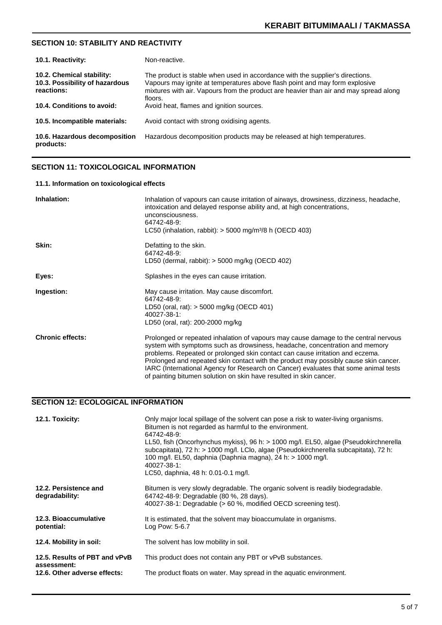#### **SECTION 10: STABILITY AND REACTIVITY**

| 10.1. Reactivity:                                                         | Non-reactive.                                                                                                                                                                                                                                                    |
|---------------------------------------------------------------------------|------------------------------------------------------------------------------------------------------------------------------------------------------------------------------------------------------------------------------------------------------------------|
| 10.2. Chemical stability:<br>10.3. Possibility of hazardous<br>reactions: | The product is stable when used in accordance with the supplier's directions.<br>Vapours may ignite at temperatures above flash point and may form explosive<br>mixtures with air. Vapours from the product are heavier than air and may spread along<br>floors. |
| 10.4. Conditions to avoid:                                                | Avoid heat, flames and ignition sources.                                                                                                                                                                                                                         |
| 10.5. Incompatible materials:                                             | Avoid contact with strong oxidising agents.                                                                                                                                                                                                                      |
| 10.6. Hazardous decomposition<br>products:                                | Hazardous decomposition products may be released at high temperatures.                                                                                                                                                                                           |

#### **SECTION 11: TOXICOLOGICAL INFORMATION**

#### **11.1. Information on toxicological effects**

| Inhalation:             | Inhalation of vapours can cause irritation of airways, drowsiness, dizziness, headache,<br>intoxication and delayed response ability and, at high concentrations,<br>unconsciousness.<br>64742-48-9:<br>LC50 (inhalation, rabbit): $>$ 5000 mg/m <sup>3</sup> /8 h (OECD 403)                                                                                                                                                                                                                            |
|-------------------------|----------------------------------------------------------------------------------------------------------------------------------------------------------------------------------------------------------------------------------------------------------------------------------------------------------------------------------------------------------------------------------------------------------------------------------------------------------------------------------------------------------|
| Skin:                   | Defatting to the skin.<br>64742-48-9:<br>LD50 (dermal, rabbit): $>$ 5000 mg/kg (OECD 402)                                                                                                                                                                                                                                                                                                                                                                                                                |
| Eyes:                   | Splashes in the eyes can cause irritation.                                                                                                                                                                                                                                                                                                                                                                                                                                                               |
| Ingestion:              | May cause irritation. May cause discomfort.<br>64742-48-9:<br>LD50 (oral, rat): $>$ 5000 mg/kg (OECD 401)<br>40027-38-1:<br>LD50 (oral, rat): 200-2000 mg/kg                                                                                                                                                                                                                                                                                                                                             |
| <b>Chronic effects:</b> | Prolonged or repeated inhalation of vapours may cause damage to the central nervous<br>system with symptoms such as drowsiness, headache, concentration and memory<br>problems. Repeated or prolonged skin contact can cause irritation and eczema.<br>Prolonged and repeated skin contact with the product may possibly cause skin cancer.<br>IARC (International Agency for Research on Cancer) evaluates that some animal tests<br>of painting bitumen solution on skin have resulted in skin cancer. |

### **SECTION 12: ECOLOGICAL INFORMATION**

| 12.1. Toxicity:                              | Only major local spillage of the solvent can pose a risk to water-living organisms.<br>Bitumen is not regarded as harmful to the environment.<br>64742-48-9:<br>LL50, fish (Oncorhynchus mykiss), 96 h: > 1000 mg/l. EL50, algae (Pseudokirchnerella<br>subcapitata), 72 h: > 1000 mg/l. LClo, algae (Pseudokirchnerella subcapitata), 72 h:<br>100 mg/l. EL50, daphnia (Daphnia magna), 24 h: > 1000 mg/l.<br>40027-38-1:<br>LC50, daphnia, 48 h: 0.01-0.1 mg/l. |
|----------------------------------------------|-------------------------------------------------------------------------------------------------------------------------------------------------------------------------------------------------------------------------------------------------------------------------------------------------------------------------------------------------------------------------------------------------------------------------------------------------------------------|
| 12.2. Persistence and<br>degradability:      | Bitumen is very slowly degradable. The organic solvent is readily biodegradable.<br>64742-48-9: Degradable (80 %, 28 days).<br>40027-38-1: Degradable (> 60 %, modified OECD screening test).                                                                                                                                                                                                                                                                     |
| 12.3. Bioaccumulative<br>potential:          | It is estimated, that the solvent may bioaccumulate in organisms.<br>Log Pow: 5-6.7                                                                                                                                                                                                                                                                                                                                                                               |
| 12.4. Mobility in soil:                      | The solvent has low mobility in soil.                                                                                                                                                                                                                                                                                                                                                                                                                             |
| 12.5. Results of PBT and vPvB<br>assessment: | This product does not contain any PBT or vPvB substances.                                                                                                                                                                                                                                                                                                                                                                                                         |
| 12.6. Other adverse effects:                 | The product floats on water. May spread in the aquatic environment.                                                                                                                                                                                                                                                                                                                                                                                               |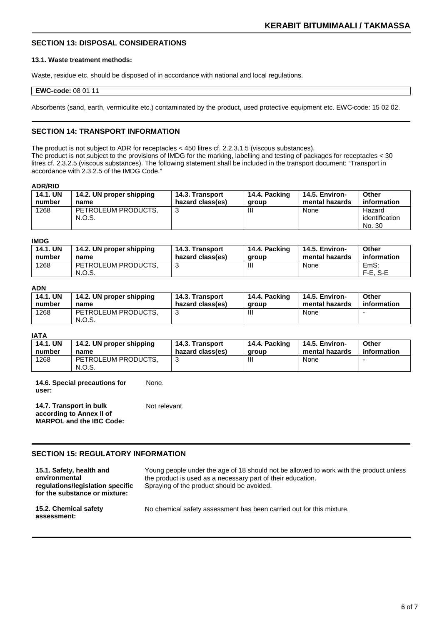#### **SECTION 13: DISPOSAL CONSIDERATIONS**

#### **13.1. Waste treatment methods:**

Waste, residue etc. should be disposed of in accordance with national and local regulations.

#### **EWC-code:** 08 01 11

Absorbents (sand, earth, vermiculite etc.) contaminated by the product, used protective equipment etc. EWC-code: 15 02 02.

#### **SECTION 14: TRANSPORT INFORMATION**

The product is not subject to ADR for receptacles < 450 litres cf. 2.2.3.1.5 (viscous substances). The product is not subject to the provisions of IMDG for the marking, labelling and testing of packages for receptacles < 30 litres cf. 2.3.2.5 (viscous substances). The following statement shall be included in the transport document: "Transport in accordance with 2.3.2.5 of the IMDG Code."

#### **ADR/RID**

| <b>14.1. UN</b> | 14.2. UN proper shipping      | <b>14.3. Transport</b> | 14.4. Packing | 14.5. Environ- | Other                              |
|-----------------|-------------------------------|------------------------|---------------|----------------|------------------------------------|
| number          | name                          | hazard class(es)       | aroup         | mental hazards | information                        |
| 1268            | PETROLEUM PRODUCTS.<br>N.O.S. | 3                      | Ш             | None           | Hazard<br>identification<br>No. 30 |

#### **IMDG**

| <b>14.1. UN</b><br>number | 14.2. UN proper shipping<br>name | 14.3. Transport<br>hazard class(es) | 14.4. Packing<br>aroup | 14.5. Environ-<br>mental hazards | Other<br>information |
|---------------------------|----------------------------------|-------------------------------------|------------------------|----------------------------------|----------------------|
| 1268                      | PETROLEUM PRODUCTS.              |                                     | Ш                      | None                             | EmS:                 |
|                           | N.O.S.                           |                                     |                        |                                  | $F-E. S-E$           |

#### **ADN**

| <b>14.1. UN</b> | 14.2. UN proper shipping      | 14.3. Transport  | 14.4. Packing | 14.5. Environ- | Other       |
|-----------------|-------------------------------|------------------|---------------|----------------|-------------|
| number          | name                          | hazard class(es) | aroup         | mental hazards | information |
| 1268            | PETROLEUM PRODUCTS.<br>N.O.S. |                  |               | None           |             |

#### **IATA**

| 14.1. UN | 14.2. UN proper shipping      | 14.3. Transport  | 14.4. Packing | 14.5. Environ- | Other       |
|----------|-------------------------------|------------------|---------------|----------------|-------------|
| number   | name                          | hazard class(es) | aroup         | mental hazards | information |
| 1268     | PETROLEUM PRODUCTS.<br>N.O.S. |                  | Ш             | None           |             |

**14.6. Special precautions for user:** None.

**14.7. Transport in bulk according to Annex II of MARPOL and the IBC Code:** Not relevant.

#### **SECTION 15: REGULATORY INFORMATION**

**15.1. Safety, health and environmental regulations/legislation specific for the substance or mixture:** Young people under the age of 18 should not be allowed to work with the product unless the product is used as a necessary part of their education. Spraying of the product should be avoided. **15.2. Chemical safety assessment:** No chemical safety assessment has been carried out for this mixture.